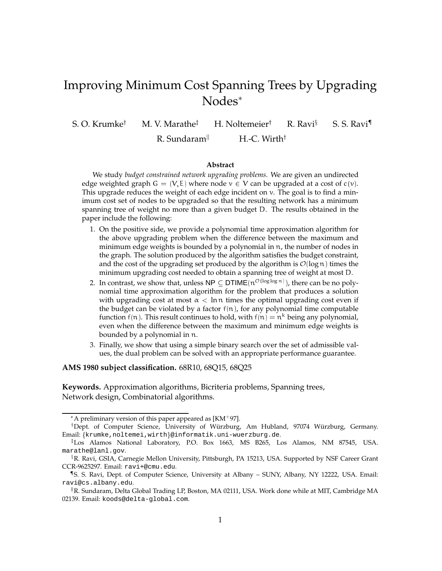# Improving Minimum Cost Spanning Trees by Upgrading Nodes

S. O. Krumke<sup>†</sup> M. V. Marathe<sup>‡</sup> H. Noltemeier<sup>†</sup>  $R. Ravi<sup>§</sup>$ S. S. Ravi<sup>¶</sup>

R. Sundaram<sup>||</sup> H.-C. Wirth<sup>†</sup>

#### **Abstract**

We study *budget constrained network upgrading problems*. We are given an undirected edge weighted graph  $G = (V, E)$  where node  $v \in V$  can be upgraded at a cost of  $c(v)$ . This upgrade reduces the weight of each edge incident on  $\nu$ . The goal is to find a minimum cost set of nodes to be upgraded so that the resulting network has a minimum spanning tree of weight no more than a given budget <sup>D</sup>. The results obtained in the paper include the following:

- 1. On the positive side, we provide a polynomial time approximation algorithm for the above upgrading problem when the difference between the maximum and minimum edge weights is bounded by a polynomial in <sup>n</sup>, the number of nodes in the graph. The solution produced by the algorithm satisfies the budget constraint, and the cost of the upgrading set produced by the algorithm is  $\mathcal{O}(\log n)$  times the minimum upgrading cost needed to obtain a spanning tree of weight at most <sup>D</sup>.
- 2. In contrast, we show that, unless <code>NP</code>  $\subseteq$  <code>DTIME</code>( $\mathfrak{n}^{\mathcal{O}(\log\log n)})$ , there can be no polynomial time approximation algorithm for the problem that produces a solution with upgrading cost at most  $\alpha < \ln n$  times the optimal upgrading cost even if the budget can be violated by a factor  $f(n)$ , for any polynomial time computable function f(n). This result continues to hold, with f(n) =  $n^k$  being any polynomial, even when the difference between the maximum and minimum edge weights is bounded by a polynomial in <sup>n</sup>.
- 3. Finally, we show that using a simple binary search over the set of admissible values, the dual problem can be solved with an appropriate performance guarantee.

### **AMS 1980 subject classification.** 68R10, 68Q15, 68Q25

**Keywords.** Approximation algorithms, Bicriteria problems, Spanning trees, Network design, Combinatorial algorithms.

 $^*$ A preliminary version of this paper appeared as [KM+97].

<sup>⊺</sup>Dept. of Computer Science, University of Würzburg, Am Hubland, 97074 Würzburg, Germany. Email: {krumke,noltemei,wirth}@informatik.uni-wuerzburg.de.

<sup>z</sup> Los Alamos National Laboratory, P.O. Box 1663, MS B265, Los Alamos, NM 87545, USA. marathe@lanl.gov.

<sup>x</sup> R. Ravi, GSIA, Carnegie Mellon University, Pittsburgh, PA 15213, USA. Supported by NSF Career Grant CCR-9625297. Email: ravi+@cmu.edu.

<sup>{</sup> S. S. Ravi, Dept. of Computer Science, University at Albany – SUNY, Albany, NY 12222, USA. Email: ravi@cs.albany.edu.

<sup>k</sup> R. Sundaram, Delta Global Trading LP, Boston, MA 02111, USA. Work done while at MIT, Cambridge MA 02139. Email: koods@delta-global.com.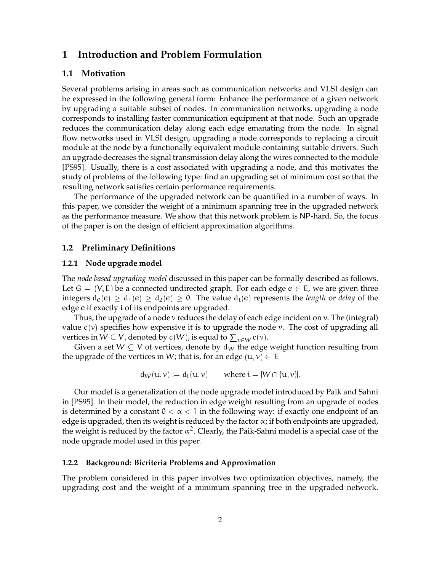# **1 Introduction and Problem Formulation**

### **1.1 Motivation**

Several problems arising in areas such as communication networks and VLSI design can be expressed in the following general form: Enhance the performance of a given network by upgrading a suitable subset of nodes. In communication networks, upgrading a node corresponds to installing faster communication equipment at that node. Such an upgrade reduces the communication delay along each edge emanating from the node. In signal flow networks used in VLSI design, upgrading a node corresponds to replacing a circuit module at the node by a functionally equivalent module containing suitable drivers. Such an upgrade decreases the signal transmission delay along the wires connected to the module [PS95]. Usually, there is a cost associated with upgrading a node, and this motivates the study of problems of the following type: find an upgrading set of minimum cost so that the resulting network satisfies certain performance requirements.

The performance of the upgraded network can be quantified in a number of ways. In this paper, we consider the weight of a minimum spanning tree in the upgraded network as the performance measure. We show that this network problem is NP-hard. So, the focus of the paper is on the design of efficient approximation algorithms.

### **1.2 Preliminary Definitions**

### **1.2.1 Node upgrade model**

The *node based upgrading model* discussed in this paper can be formally described as follows. Let  $G = (V, E)$  be a connected undirected graph. For each edge  $e \in E$ , we are given three integers  $d_0(e) \geq d_1(e) \geq d_2(e) \geq 0$ . The value  $d_i(e)$  represents the *length* or *delay* of the edge <sup>e</sup> if exactly <sup>i</sup> of its endpoints are upgraded.

Thus, the upgrade of a node v reduces the delay of each edge incident on  $v$ . The (integral) value  $c(v)$  specifies how expensive it is to upgrade the node v. The cost of upgrading all vertices in  $W \subseteq V$ , denoted by  $c(W)$ , is equal to  $\sum_{v \in W} c(v)$ .

Given a set  $W \subseteq V$  of vertices, denote by  $d_W$  the edge weight function resulting from the upgrade of the vertices in W; that is, for an edge  $(u, v) \in E$ 

$$
d_W(u,v) := d_i(u,v) \quad \text{where } i = |W \cap \{u,v\}|.
$$

Our model is a generalization of the node upgrade model introduced by Paik and Sahni in [PS95]. In their model, the reduction in edge weight resulting from an upgrade of nodes is determined by a constant  $0 < \alpha < 1$  in the following way: if exactly one endpoint of an edge is upgraded, then its weight is reduced by the factor  $\alpha$ ; if both endpoints are upgraded, the weight is reduced by the factor  $\alpha^2$ . Clearly, the Paik-Sahni model is a special case of the node upgrade model used in this paper.

#### **1.2.2 Background: Bicriteria Problems and Approximation**

The problem considered in this paper involves two optimization objectives, namely, the upgrading cost and the weight of a minimum spanning tree in the upgraded network.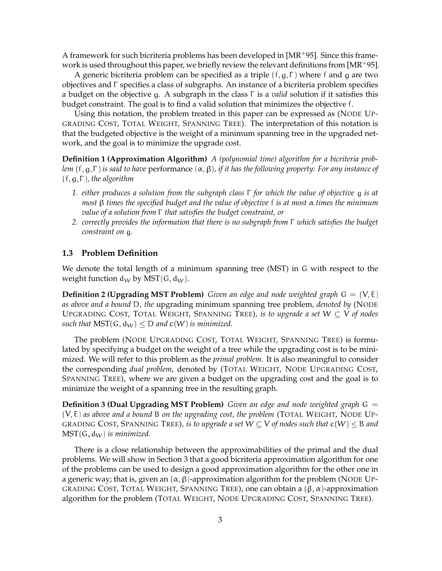A framework for such bicriteria problems has been developed in [MR<sup>+</sup> 95]. Since this framework is used throughout this paper, we briefly review the relevant definitions from [MR+95].

A generic bicriteria problem can be specified as a triple  $(f, g, \Gamma)$  where f and g are two objectives and  $\Gamma$  specifies a class of subgraphs. An instance of a bicriteria problem specifies a budget on the objective g. A subgraph in the class  $\Gamma$  is a *valid* solution if it satisfies this budget constraint. The goal is to find a valid solution that minimizes the objective <sup>f</sup>.

Using this notation, the problem treated in this paper can be expressed as (NODE UP-GRADING COST, TOTAL WEIGHT, SPANNING TREE). The interpretation of this notation is that the budgeted objective is the weight of a minimum spanning tree in the upgraded network, and the goal is to minimize the upgrade cost.

**Definition 1 (Approximation Algorithm)** *A (polynomial time) algorithm for a bicriteria prob*lem  $(f, g, \Gamma)$  is said to have performance  $(\alpha, \beta)$ , if it has the following property: For any instance of  $(f, g, \Gamma)$ , the algorithm

- *1. either produces a solution from the subgraph class for which the value of objective* <sup>g</sup> *is at most times the specified budget and the value of objective* <sup>f</sup> *is at most times the minimum value of a solution from*  $\Gamma$  *that satisfies the budget constraint, or*
- *2. correctly provides the information that there is no subgraph from which satisfies the budget constraint on* <sup>g</sup>*.*

### **1.3 Problem Definition**

We denote the total length of a minimum spanning tree (MST) in <sup>G</sup> with respect to the weight function  $d_W$  by MST(G,  $d_W$ ).

**Definition 2 (Upgrading MST Problem)** *Given an edge and node weighted graph*  $G = (V, E)$ *as above and a bound* <sup>D</sup>*, the* upgrading minimum spanning tree problem*, denoted by* (NODE UPGRADING COST, TOTAL WEIGHT, SPANNING TREE), is to upgrade a set  $W \subseteq V$  of nodes *such that*  $MST(G, d_W) \leq D$  *and*  $c(W)$  *is minimized.* 

The problem (NODE UPGRADING COST, TOTAL WEIGHT, SPANNING TREE) is formulated by specifying a budget on the weight of a tree while the upgrading cost is to be minimized. We will refer to this problem as the *primal problem*. It is also meaningful to consider the corresponding *dual problem*, denoted by (TOTAL WEIGHT, NODE UPGRADING COST, SPANNING TREE), where we are given a budget on the upgrading cost and the goal is to minimize the weight of a spanning tree in the resulting graph.

**Definition 3 (Dual Upgrading MST Problem)** *Given an edge and node weighted graph* G = (V; E) *as above and a bound* <sup>B</sup> *on the upgrading cost, the problem* (TOTAL WEIGHT, NODE UP-GRADING COST, SPANNING TREE), is to upgrade a set  $W \subseteq V$  of nodes such that  $c(W) \leq B$  and  $MST(G, d_W)$  *is minimized.* 

There is a close relationship between the approximabilities of the primal and the dual problems. We will show in Section 3 that a good bicriteria approximation algorithm for one of the problems can be used to design a good approximation algorithm for the other one in a generic way; that is, given an  $(\alpha, \beta)$ -approximation algorithm for the problem (NODE UP-GRADING COST, TOTAL WEIGHT, SPANNING TREE), one can obtain a  $(\beta, \alpha)$ -approximation algorithm for the problem (TOTAL WEIGHT, NODE UPGRADING COST, SPANNING TREE).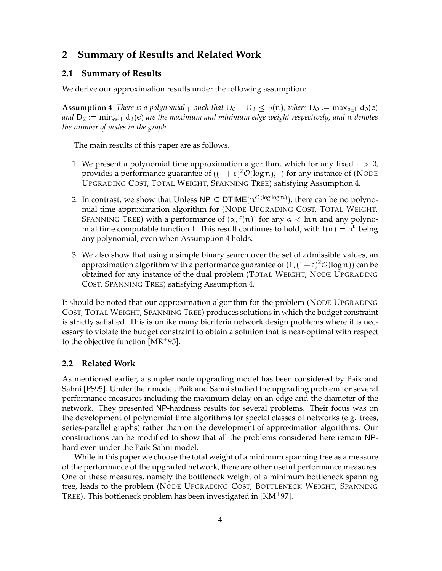# **2 Summary of Results and Related Work**

### **2.1 Summary of Results**

We derive our approximation results under the following assumption:

**Assumption 4** *There is a polynomial* p *such that*  $D_0 - D_2 \leq p(n)$ *, where*  $D_0 := \max_{e \in E} d_0(e)$ *and*  $D_2 := min_{e \in E} d_2(e)$  *are the maximum and minimum edge weight respectively, and* n *denotes the number of nodes in the graph.*

The main results of this paper are as follows.

- 1. We present a polynomial time approximation algorithm, which for any fixed  $\epsilon > 0$ , provides a performance guarantee of  $((1 + \varepsilon)^2 \mathcal{O}(\log n), 1)$  for any instance of (NODE UPGRADING COST, TOTAL WEIGHT, SPANNING TREE) satisfying Assumption 4.
- 2. In contrast, we show that Unless  $\mathsf{NP} \subseteq \mathsf{DTIME}(n^{\mathcal{O}(\log \log n)})$ , there can be no polynomial time approximation algorithm for (NODE UPGRADING COST, TOTAL WEIGHT, SPANNING TREE) with a performance of  $(\alpha, f(n))$  for any  $\alpha < \ln n$  and any polynomial time computable function f. This result continues to hold, with  $\mathsf{f}(\mathsf{n}) = \mathsf{n}^\mathsf{k}$  being any polynomial, even when Assumption 4 holds.
- 3. We also show that using a simple binary search over the set of admissible values, an approximation algorithm with a performance guarantee of  $(1,(1+\varepsilon)^2\mathcal{O}(\log n))$  can be obtained for any instance of the dual problem (TOTAL WEIGHT, NODE UPGRADING COST, SPANNING TREE) satisfying Assumption 4.

It should be noted that our approximation algorithm for the problem (NODE UPGRADING COST, TOTAL WEIGHT, SPANNING TREE) produces solutions in which the budget constraint is strictly satisfied. This is unlike many bicriteria network design problems where it is necessary to violate the budget constraint to obtain a solution that is near-optimal with respect to the objective function [MR<sup>+</sup> 95].

### **2.2 Related Work**

As mentioned earlier, a simpler node upgrading model has been considered by Paik and Sahni [PS95]. Under their model, Paik and Sahni studied the upgrading problem for several performance measures including the maximum delay on an edge and the diameter of the network. They presented NP-hardness results for several problems. Their focus was on the development of polynomial time algorithms for special classes of networks (e.g. trees, series-parallel graphs) rather than on the development of approximation algorithms. Our constructions can be modified to show that all the problems considered here remain NPhard even under the Paik-Sahni model.

While in this paper we choose the total weight of a minimum spanning tree as a measure of the performance of the upgraded network, there are other useful performance measures. One of these measures, namely the bottleneck weight of a minimum bottleneck spanning tree, leads to the problem (NODE UPGRADING COST, BOTTLENECK WEIGHT, SPANNING TREE). This bottleneck problem has been investigated in [KM<sup>+</sup> 97].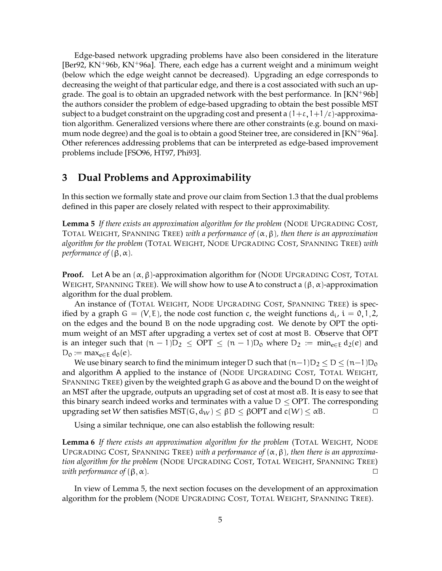Edge-based network upgrading problems have also been considered in the literature [Ber92, KN<sup>+</sup> 96b, KN<sup>+</sup> 96a]. There, each edge has a current weight and a minimum weight (below which the edge weight cannot be decreased). Upgrading an edge corresponds to decreasing the weight of that particular edge, and there is a cost associated with such an upgrade. The goal is to obtain an upgraded network with the best performance. In [KN<sup>+</sup> 96b] the authors consider the problem of edge-based upgrading to obtain the best possible MST subject to a budget constraint on the upgrading cost and present a  $(1+\epsilon, 1+1/\epsilon)$ -approximation algorithm. Generalized versions where there are other constraints (e.g. bound on maximum node degree) and the goal is to obtain a good Steiner tree, are considered in [KN<sup>+</sup> 96a]. Other references addressing problems that can be interpreted as edge-based improvement problems include [FSO96, HT97, Phi93].

# **3 Dual Problems and Approximability**

In this section we formally state and prove our claim from Section 1.3 that the dual problems defined in this paper are closely related with respect to their approximability.

**Lemma 5** *If there exists an approximation algorithm for the problem* (NODE UPGRADING COST, TOTAL WEIGHT, SPANNING TREE) with a performance of  $(\alpha, \beta)$ , then there is an approximation *algorithm for the problem* (TOTAL WEIGHT, NODE UPGRADING COST, SPANNING TREE) *with performance of*  $(\beta, \alpha)$ *.* 

**Proof.** Let A be an  $(\alpha, \beta)$ -approximation algorithm for (NODE UPGRADING COST, TOTAL WEIGHT, SPANNING TREE). We will show how to use A to construct a  $(\beta, \alpha)$ -approximation algorithm for the dual problem.

An instance of (TOTAL WEIGHT, NODE UPGRADING COST, SPANNING TREE) is specified by a graph  $G = (V, E)$ , the node cost function c, the weight functions  $d_i$ ,  $i = 0, 1, 2$ , on the edges and the bound <sup>B</sup> on the node upgrading cost. We denote by OPT the optimum weight of an MST after upgrading a vertex set of cost at most <sup>B</sup>. Observe that OPT is an integer such that  $(n - 1)D_2 \leq OPT \leq (n - 1)D_0$  where  $D_2 := min_{e \in E} d_2(e)$  and  $D_0 := \max_{e \in E} d_0(e)$ .

We use binary search to find the minimum integer D such that  $(n-1)D_2 \le D \le (n-1)D_0$ and algorithm A applied to the instance of (NODE UPGRADING COST, TOTAL WEIGHT, SPANNING TREE) given by the weighted graph <sup>G</sup> as above and the bound <sup>D</sup> on the weight of an MST after the upgrade, outputs an upgrading set of cost at most  $\alpha$ B. It is easy to see that this binary search indeed works and terminates with a value  $D \leq OPT$ . The corresponding upgrading set W then satisfies MST(G,  $d_W$ )  $\leq \beta D \leq \beta OPT$  and  $c(W) \leq \alpha B$ .

Using a similar technique, one can also establish the following result:

**Lemma 6** *If there exists an approximation algorithm for the problem* (TOTAL WEIGHT, NODE UPGRADING COST, SPANNING TREE) with a performance of  $(\alpha, \beta)$ , then there is an approxima*tion algorithm for the problem* (NODE UPGRADING COST, TOTAL WEIGHT, SPANNING TREE) *with performance of*  $(\beta, \alpha)$ .

In view of Lemma 5, the next section focuses on the development of an approximation algorithm for the problem (NODE UPGRADING COST, TOTAL WEIGHT, SPANNING TREE).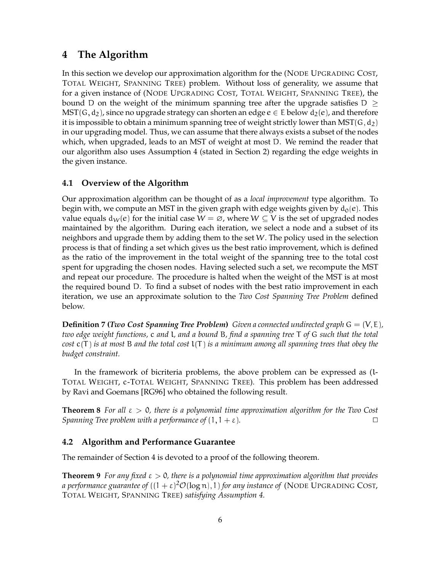# **4 The Algorithm**

In this section we develop our approximation algorithm for the (NODE UPGRADING COST, TOTAL WEIGHT, SPANNING TREE) problem. Without loss of generality, we assume that for a given instance of (NODE UPGRADING COST, TOTAL WEIGHT, SPANNING TREE), the bound D on the weight of the minimum spanning tree after the upgrade satisfies  $D \geq$  $MST(G, d_2)$ , since no upgrade strategy can shorten an edge  $e \in E$  below  $d_2(e)$ , and therefore it is impossible to obtain a minimum spanning tree of weight strictly lower than MST( $G, d_2$ ) in our upgrading model. Thus, we can assume that there always exists a subset of the nodes which, when upgraded, leads to an MST of weight at most <sup>D</sup>. We remind the reader that our algorithm also uses Assumption 4 (stated in Section 2) regarding the edge weights in the given instance.

### **4.1 Overview of the Algorithm**

Our approximation algorithm can be thought of as a *local improvement* type algorithm. To begin with, we compute an MST in the given graph with edge weights given by  $d_0(e)$ . This value equals  $d_W(e)$  for the initial case  $W = \emptyset$ , where  $W \subset V$  is the set of upgraded nodes maintained by the algorithm. During each iteration, we select a node and a subset of its neighbors and upgrade them by adding them to the set <sup>W</sup>. The policy used in the selection process is that of finding a set which gives us the best ratio improvement, which is defined as the ratio of the improvement in the total weight of the spanning tree to the total cost spent for upgrading the chosen nodes. Having selected such a set, we recompute the MST and repeat our procedure. The procedure is halted when the weight of the MST is at most the required bound <sup>D</sup>. To find a subset of nodes with the best ratio improvement in each iteration, we use an approximate solution to the *Two Cost Spanning Tree Problem* defined below.

**Definition 7 (***Two Cost Spanning Tree Problem***)** *Given a connected undirected graph* <sup>G</sup> <sup>=</sup> (V; E)*, two edge weight functions,* <sup>c</sup> *and* <sup>l</sup>*, and a bound* <sup>B</sup>*, find a spanning tree* <sup>T</sup> *of* <sup>G</sup> *such that the total cost* <sup>c</sup>(T) *is at most* <sup>B</sup> *and the total cost* <sup>l</sup>(T) *is a minimum among all spanning trees that obey the budget constraint.*

In the framework of bicriteria problems, the above problem can be expressed as (l-TOTAL WEIGHT, <sup>c</sup>-TOTAL WEIGHT, SPANNING TREE). This problem has been addressed by Ravi and Goemans [RG96] who obtained the following result.

**Theorem 8** For all  $\varepsilon > 0$ , there is a polynomial time approximation algorithm for the Two Cost *Spanning Tree problem with a performance of*  $(1, 1 + \varepsilon)$ *.*  $\Box$ 

### **4.2 Algorithm and Performance Guarantee**

The remainder of Section 4 is devoted to a proof of the following theorem.

**Theorem 9** For any fixed  $\epsilon > 0$ , there is a polynomial time approximation algorithm that provides a performance guarantee of  $((1+\varepsilon)^2 \mathcal{O}(\log n),1)$  for any instance of <code>(NODE UPGRADING COST,</code> TOTAL WEIGHT, SPANNING TREE) *satisfying Assumption 4.*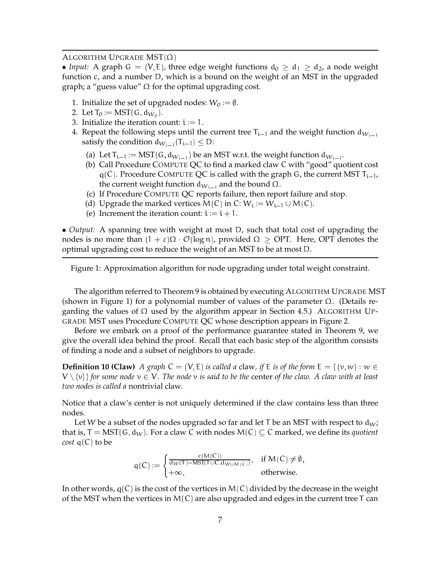Algorithm Upgrade  $\mathop{\mathrm{MST}}\nolimits(\Omega)$ 

• *Input:* A graph G = (V, E), three edge weight functions  $d_0 \geq d_1 \geq d_2$ , a node weight function <sup>c</sup>, and a number <sup>D</sup>, which is a bound on the weight of an MST in the upgraded graph; a "guess value"  $\Omega$  for the optimal upgrading cost.

- 1. Initialize the set of upgraded nodes:  $W_0 := \emptyset$ .
- 2. Let  $T_0 := MST(G, d_{W_0}).$
- 3. Initialize the iteration count:  $i := 1$ .
- 4. Repeat the following steps until the current tree  $T_{i-1}$  and the weight function  $d_{W_{i-1}}$ satisfy the condition  $d_{W_{i-1}}(T_{i-1}) \leq D$ :
	- (a) Let  $T_{i-1} := \text{MST}(\mathsf{G},\mathrm{d}_{\mathcal{W}_{i-1}})$  be an MST w.r.t. the weight function  $\mathrm{d}_{\mathcal{W}_{i-1}}$ .
	- (b) Call Procedure COMPUTE QC to find a marked claw <sup>C</sup> with "good" quotient cost  $q(C)$ . Procedure COMPUTE QC is called with the graph G, the current MST  $T_{i-1}$ , the current weight function  $\mathrm{d}_{\mathcal{W}_{i-1}}$  and the bound  $\Omega.$
	- (c) If Procedure COMPUTE QC reports failure, then report failure and stop.
	- (d) Upgrade the marked vertices  $M(C)$  in C:  $W_i := W_{i-1} \cup M(C)$ .
	- (e) Increment the iteration count:  $i := i + 1$ .

 *Output:* A spanning tree with weight at most <sup>D</sup>, such that total cost of upgrading the nodes is no more than  $(1+\varepsilon)\Omega\cdot\mathcal{O}(\log n)$ , provided  $\Omega\geq$  OPT. Here, OPT denotes the optimal upgrading cost to reduce the weight of an MST to be at most <sup>D</sup>.

Figure 1: Approximation algorithm for node upgrading under total weight constraint.

The algorithm referred to Theorem 9 is obtained by executing ALGORITHM UPGRADE MST (shown in Figure 1) for a polynomial number of values of the parameter  $\Omega$ . (Details regarding the values of  $\Omega$  used by the algorithm appear in Section 4.5.) ALGORITHM UP-GRADE MST uses Procedure COMPUTE QC whose description appears in Figure 2.

Before we embark on a proof of the performance guarantee stated in Theorem 9, we give the overall idea behind the proof. Recall that each basic step of the algorithm consists of finding a node and a subset of neighbors to upgrade.

**Definition 10 (Claw)** *A graph*  $C = (V, E)$  *is called a claw, if* E *is of the form*  $E = \{ (v, w) : w \in E \}$  $V \setminus \{v\}$  for some node  $v \in V$ . The node v is said to be the center of the claw. A claw with at least *two nodes is called a* nontrivial claw*.*

Notice that a claw's center is not uniquely determined if the claw contains less than three nodes.

Let W be a subset of the nodes upgraded so far and let T be an MST with respect to  $d_W$ ; that is,  $T = MST(G, d_W)$ . For a claw C with nodes  $M(C) \subseteq C$  marked, we define its *quotient cost* q(C) to be

$$
q(C) := \begin{cases} \frac{c(M(C))}{d_W(T) - MST(T \cup C, d_{W \cup M(C)})}, & \text{if } M(C) \neq \emptyset, \\ +\infty, & \text{otherwise.} \end{cases}
$$

In other words,  $q(C)$  is the cost of the vertices in  $M(C)$  divided by the decrease in the weight of the MST when the vertices in  $M(C)$  are also upgraded and edges in the current tree T can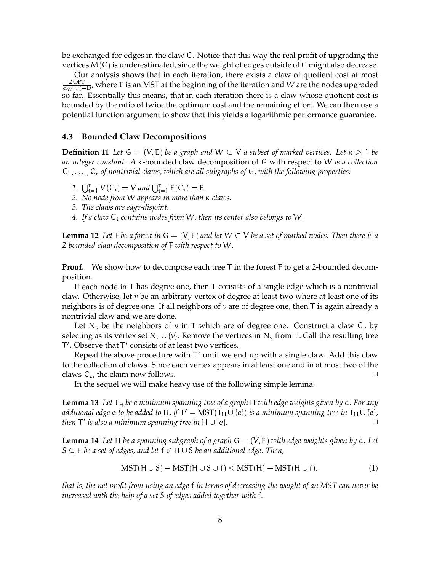be exchanged for edges in the claw <sup>C</sup>. Notice that this way the real profit of upgrading the vertices  $M(C)$  is underestimated, since the weight of edges outside of C might also decrease.

Our analysis shows that in each iteration, there exists a claw of quotient cost at most  $\frac{2 \text{ OPT}}{\text{d}_W(T)-D}$ , where T is an MST at the beginning of the iteration and W are the nodes upgraded so far. Essentially this means, that in each iteration there is a claw whose quotient cost is bounded by the ratio of twice the optimum cost and the remaining effort. We can then use a potential function argument to show that this yields a logarithmic performance guarantee.

### **4.3 Bounded Claw Decompositions**

**Definition 11** Let  $G = (V, E)$  be a graph and  $W \subseteq V$  a subset of marked vertices. Let  $\kappa \geq 1$  be *an integer constant. A* -bounded claw decomposition of <sup>G</sup> with respect to <sup>W</sup> *is a collection* C1; : : : ; Cr *of nontrivial claws, which are all subgraphs of* <sup>G</sup>*, with the following properties:*

- 1.  $\bigcup_{i=1}^r V(C_i) = V$  *and*  $\bigcup_{i=1}^r E(C_i) = E$ *.*
- *2. No node from* <sup>W</sup> *appears in more than claws.*
- *3. The claws are edge-disjoint.*
- *4. If a claw* Ci *contains nodes from* <sup>W</sup>*, then its center also belongs to* <sup>W</sup>*.*

**Lemma 12** Let F be a forest in  $G = (V, E)$  and let  $W \subseteq V$  be a set of marked nodes. Then there is a <sup>2</sup>*-bounded claw decomposition of* <sup>F</sup> *with respect to* <sup>W</sup>*.*

**Proof.** We show how to decompose each tree T in the forest F to get a 2-bounded decomposition.

If each node in <sup>T</sup> has degree one, then <sup>T</sup> consists of a single edge which is a nontrivial claw. Otherwise, let <sup>v</sup> be an arbitrary vertex of degree at least two where at least one of its neighbors is of degree one. If all neighbors of <sup>v</sup> are of degree one, then <sup>T</sup> is again already a nontrivial claw and we are done.

Let  $N_v$  be the neighbors of v in T which are of degree one. Construct a claw  $C_v$  by selecting as its vertex set  $N_v \cup \{v\}$ . Remove the vertices in  $N_v$  from T. Call the resulting tree  $T'$ . Observe that  $T'$  consists of at least two vertices.

Repeat the above procedure with T' until we end up with a single claw. Add this claw to the collection of claws. Since each vertex appears in at least one and in at most two of the claws  $C_v$ , the claim now follows.  $\Box$ 

In the sequel we will make heavy use of the following simple lemma.

Lemma 13 Let T<sub>H</sub> be a minimum spanning tree of a graph H with edge weights given by d. For any *additional edge e to be added to* H, *if*  $T' = MST(T_H \cup \{e\})$  *is a minimum spanning tree in*  $T_H \cup \{e\}$ , then  $\mathsf{T}'$  is also a minimum spanning tree in  $\mathsf{H} \cup \{e\}$ .  $\hfill \Box$ 

**Lemma 14** Let H be a spanning subgraph of a graph  $G = (V, E)$  with edge weights given by d. Let  $S \subseteq E$  *be a set of edges, and let*  $f \notin H \cup S$  *be an additional edge. Then,* 

$$
MST(H \cup S) - MST(H \cup S \cup f) \leq MST(H) - MST(H \cup f), \tag{1}
$$

*that is, the net profit from using an edge* <sup>f</sup> *in terms of decreasing the weight of an MST can never be increased with the help of a set* <sup>S</sup> *of edges added together with* <sup>f</sup>*.*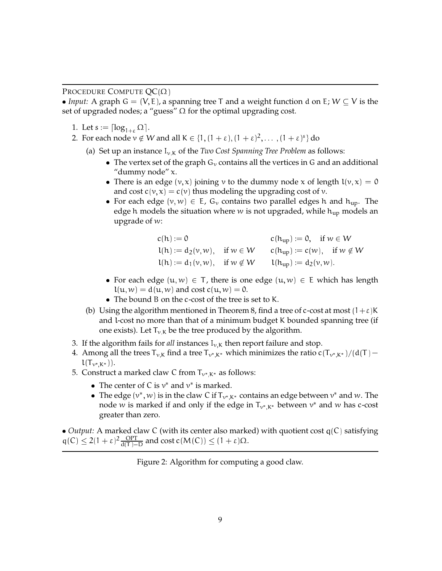### Procedure Compute  $QC(\Omega)$

• *Input:* A graph  $G = (V, E)$ , a spanning tree T and a weight function d on E;  $W \subseteq V$  is the set of upgraded nodes; a "guess"  $\Omega$  for the optimal upgrading cost.

- 1. Let  $s := \lceil \log_{1+\varepsilon} \Omega \rceil$ .
- 2. For each node  $v \notin W$  and all  $K \in \{1, (1 + \varepsilon), (1 + \varepsilon)^2, \dots, (1 + \varepsilon)^s\}$  do

(a) Set up an instance  $I_{v,K}$  of the *Two Cost Spanning Tree Problem* as follows:

- The vertex set of the graph  $G_v$  contains all the vertices in G and an additional "dummy node" <sup>x</sup>.
- There is an edge  $(v, x)$  joining v to the dummy node x of length  $l(v, x) = 0$ and cost  $c(v, x) = c(v)$  thus modeling the upgrading cost of v.
- For each edge  $(v, w) \in E$ ,  $G_v$  contains two parallel edges h and  $h_{up}$ . The edge h models the situation where  $w$  is not upgraded, while  $h_{up}$  models an upgrade of <sup>w</sup>:

 $c(h) := 0$  c(h<sub>up</sub>) := 0, if w  $\in W$  $l(h) := d_2(v, w)$ , if  $w \in W$  c(h<sub>up</sub>):= c(w), if  $w \notin W$  $l(h) := d_1(v, w), \quad \text{if } w \notin W \qquad l(h_{up}) := d_2(v, w).$ 

- For each edge  $(u, w) \in T$ , there is one edge  $(u, w) \in E$  which has length  $l(\mathfrak{u}, w) = d(\mathfrak{u}, w)$  and cost  $c(\mathfrak{u}, w) = 0$ .
- The bound B on the c-cost of the tree is set to K.
- (b) Using the algorithm mentioned in Theorem 8, find a tree of c-cost at most  $(1+\varepsilon)K$ and <sup>l</sup>-cost no more than that of a minimum budget <sup>K</sup> bounded spanning tree (if one exists). Let  $T_{v,K}$  be the tree produced by the algorithm.
- 3. If the algorithm fails for *all* instances  $I_{v,K}$  then report failure and stop.
- 4. Among all the trees  $T_{v,K}$  find a tree  $T_{v^*,K^*}$  which minimizes the ratio  $c(T_{v^*,K^*})/(d(T)$  $l(T_{\nu^*, K^*})$ .
- 5. Construct a marked claw C from  $T_{v^*, K^*}$  as follows:
	- The center of C is  $v^*$  and  $v^*$  is marked.
	- The edge  $(v^*, w)$  is in the claw C if  $T_{v^*, K^*}$  contains an edge between  $v^*$  and  $w$ . The node  $w$  is marked if and only if the edge in  $\mathsf{T}_{\nu^*,\mathsf{K}^*}$  between  $\nu^*$  and  $w$  has  $\mathsf{c}\text{-}\mathsf{cost}$ greater than zero.

 *Output:* A marked claw <sup>C</sup> (with its center also marked) with quotient cost q(C) satisfying  $q(C) \leq 2(1+\epsilon)^2 \frac{OPT}{d(T)-D}$  and cost  $c(M(C)) \leq (1+\epsilon)\Omega$ .

Figure 2: Algorithm for computing a good claw.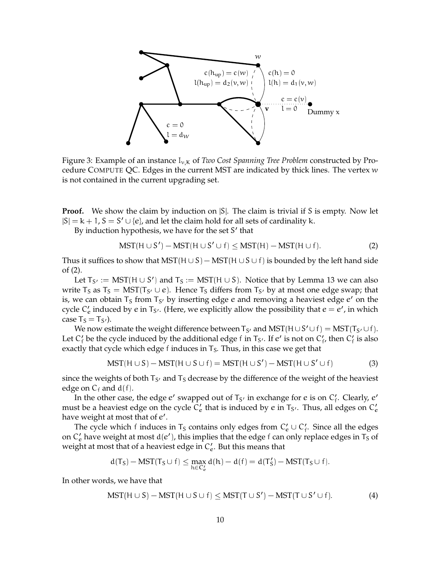

Figure 3: Example of an instance I<sub>vK</sub> of *Two Cost Spanning Tree Problem* constructed by Procedure COMPUTE QC. Edges in the current MST are indicated by thick lines. The vertex <sup>w</sup> is not contained in the current upgrading set.

**Proof.** We show the claim by induction on  $|S|$ . The claim is trivial if S is empty. Now let  $|S| = k + 1$ ,  $S = S' \cup \{e\}$ , and let the claim hold for all sets of cardinality k.

By induction hypothesis, we have for the set S  $^{\prime}$  that

$$
MST(H \cup S') - MST(H \cup S' \cup f) \leq MST(H) - MST(H \cup f). \tag{2}
$$

Thus it suffices to show that  $MST(H \cup S) - MST(H \cup S \cup f)$  is bounded by the left hand side of (2).

Let  $T_{S'} := \text{MST}(\text{H} \cup \text{S}')$  and  $T_S := \text{MST}(\text{H} \cup \text{S})$ . Notice that by Lemma 13 we can also write  $T_S$  as  $T_S = MST(T_S \cup e)$ . Hence  $T_S$  differs from  $T_{S'}$  by at most one edge swap; that is, we can obtain T<sub>S</sub> from T<sub>S'</sub> by inserting edge e and removing a heaviest edge  $e'$  on the cycle  ${\mathsf C}_e'$  induced by  $e$  in  ${\mathsf T}_{\mathsf S}$ . (Here, we explicitly allow the possibility that  $e=e'$ , in which case  $T_S = T_{S'}$ ).

We now estimate the weight difference between T<sub>S</sub>, and MST(H  $\cup$  S  $'\cup$  f) = MST(T<sub>S</sub>,  $\cup$  f). Let C<sub>f</sub> be the cycle induced by the additional edge f in T<sub>S'</sub>. If e' is not on C<sub>f</sub>, then C<sub>f</sub> is also exactly that cycle which edge  $f$  induces in  $T_S$ . Thus, in this case we get that

$$
MST(H \cup S) - MST(H \cup S \cup f) = MST(H \cup S') - MST(H \cup S' \cup f)
$$
 (3)

since the weights of both  $T_S$  and  $T_S$  decrease by the difference of the weight of the heaviest edge on  $C_f$  and  $d(f)$ .

In the other case, the edge  $e'$  swapped out of  $T_{S'}$  in exchange for  $e$  is on  $C_f'$ . Clearly,  $e'$ must be a heaviest edge on the cycle  ${\sf C}'_e$  that is induced by e in T<sub>S'</sub>. Thus, all edges on  ${\sf C}'_e$ have weight at most that of  $e^{\prime}.$ 

The cycle which f induces in  $T_S$  contains only edges from  $C'_e \cup C'_f$ . Since all the edges on  ${\mathsf C}'_e$  have weight at most  ${\rm d}(e'),$  this implies that the edge  ${\rm f}$  can only replace edges in T $_{\rm S}$  of weight at most that of a heaviest edge in  $\mathsf{C}_e'$ . But this means that

$$
d(T_S) - MST(T_S \cup f) \leq \max_{h \in C'_\varepsilon} d(h) - d(f) = d(T'_S) - MST(T_S \cup f).
$$

In other words, we have that

$$
MST(H \cup S) - MST(H \cup S \cup f) \leq MST(T \cup S') - MST(T \cup S' \cup f). \tag{4}
$$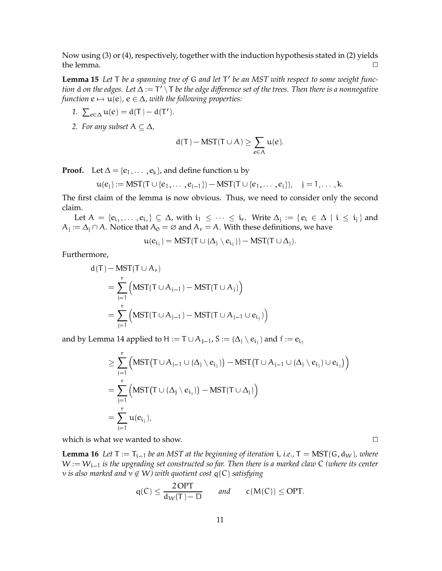Now using (3) or (4), respectively, together with the induction hypothesis stated in (2) yields the lemma.  $\Box$ 

**Lemma 15** Let T be a spanning tree of G and let T' be an MST with respect to some weight function  $\rm{d}$  on the edges. Let  $\rm{\Delta}:=T'\rm{\setminus}$  T be the edge difference set of the trees. Then there is a nonnegative *function*  $e \mapsto u(e)$ *,*  $e \in \Delta$ *, with the following properties:* 

- 1.  $\sum_{e \in \Delta} u(e) = d(T) d(T').$
- *2. For any subset*  $A \subseteq \Delta$ ,

$$
d(T) - MST(T \cup A) \geq \sum_{e \in A} u(e).
$$

**Proof.** Let  $\Delta = \{e_1, \ldots, e_k\}$ , and define function u by

$$
u(e_j) := MST(T \cup \{e_1, \ldots, e_{j-1}\}) - MST(T \cup \{e_1, \ldots, e_j\}), \quad j = 1, \ldots, k.
$$

The first claim of the lemma is now obvious. Thus, we need to consider only the second claim.

Let  $A = \{e_{i_1}, \ldots, e_{i_r}\} \subseteq \Delta$ , with  $i_1 \leq \cdots \leq i_r$ . Write  $\Delta_j := \{e_i \in \Delta \mid i \leq i_j\}$  and  $A_i := \Delta_i \cap A$ . Notice that  $A_0 = \emptyset$  and  $A_r = A$ . With these definitions, we have

$$
\mathfrak{u}(e_{i_j}) = \text{MST}(\mathsf{T} \cup (\Delta_j \setminus e_{i_j})) - \text{MST}(\mathsf{T} \cup \Delta_j).
$$

Furthermore,

$$
d(T) - MST(T \cup A_r)
$$
  
= 
$$
\sum_{j=1}^{r} (MST(T \cup A_{j-1}) - MST(T \cup A_j))
$$
  
= 
$$
\sum_{j=1}^{r} (MST(T \cup A_{j-1}) - MST(T \cup A_{j-1} \cup e_{i_j}))
$$

and by Lemma 14 applied to H := T  $\cup A_{j-1}$ , S :=  $(\Delta_j \setminus e_{i_j})$  and  $f := e_{i_j}$ 

$$
\geq \sum_{j=1}^{r} \left( \text{MST}(\mathsf{T} \cup A_{j-1} \cup (\Delta_{j} \setminus e_{i_{j}})) - \text{MST}(\mathsf{T} \cup A_{j-1} \cup (\Delta_{j} \setminus e_{i_{j}}) \cup e_{i_{j}}) \right)
$$
  
= 
$$
\sum_{j=1}^{r} \left( \text{MST}(\mathsf{T} \cup (\Delta_{j} \setminus e_{i_{j}})) - \text{MST}(\mathsf{T} \cup \Delta_{j}) \right)
$$
  
= 
$$
\sum_{j=1}^{r} u(e_{i_{j}}),
$$

which is what we wanted to show.  $\Box$ 

**Lemma 16** Let  $T := T_{i-1}$  be an MST at the beginning of iteration *i*, *i.e.*,  $T = MST(G, d_W)$ , where <sup>W</sup> := Wi-1 *is the upgrading set constructed so far. Then there is a marked claw* <sup>C</sup> *(where its center v* is also marked and  $v \notin W$ *)* with quotient cost  $q(C)$  satisfying

$$
q(C) \le \frac{2\,\text{OPT}}{d_W(T) - D} \qquad \text{and} \qquad c(M(C)) \le \text{OPT}.
$$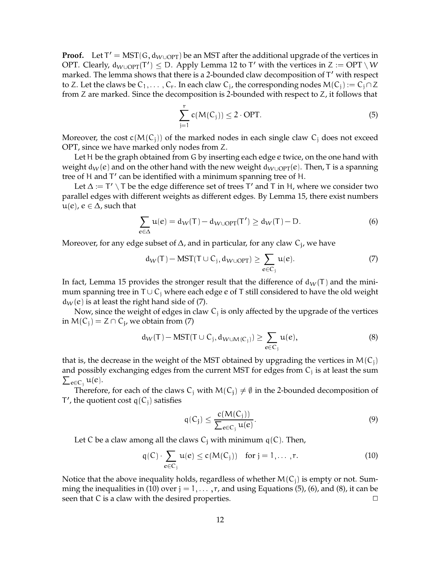**Proof.** Let  $T' = MST(G, d_{W\cup OPT})$  be an MST after the additional upgrade of the vertices in OPT. Clearly,  $\text{d}_{W\cup\text{OPT}}(T')\leq\text{D}$ . Apply Lemma 12 to T $'$  with the vertices in Z := OPT \ W marked. The lemma shows that there is a 2-bounded claw decomposition of  $T'$  with respect to Z. Let the claws be  $C_1, \ldots, C_r$ . In each claw  $C_i$ , the corresponding nodes  $M(C_i) := C_i \cap Z$ from <sup>Z</sup> are marked. Since the decomposition is <sup>2</sup>-bounded with respect to <sup>Z</sup>, it follows that

$$
\sum_{j=1}^{r} c(M(C_j)) \le 2 \cdot OPT. \tag{5}
$$

Moreover, the cost  $c(M(C_i))$  of the marked nodes in each single claw  $C_i$  does not exceed OPT, since we have marked only nodes from <sup>Z</sup>.

Let <sup>H</sup> be the graph obtained from <sup>G</sup> by inserting each edge <sup>e</sup> twice, on the one hand with weight  $d_W(e)$  and on the other hand with the new weight  $d_{W\cup OPT}(e)$ . Then, T is a spanning tree of H and T' can be identified with a minimum spanning tree of H.

Let  $\Delta:= {\sf T}'\setminus {\sf T}$  be the edge difference set of trees  ${\sf T}'$  and  ${\sf T}$  in H, where we consider two parallel edges with different weights as different edges. By Lemma 15, there exist numbers  $u(e)$ ,  $e \in \Delta$ , such that

$$
\sum_{e \in \Delta} u(e) = d_W(T) - d_{W \cup OPT}(T') \ge d_W(T) - D.
$$
 (6)

Moreover, for any edge subset of  $\Delta$ , and in particular, for any claw  $C_i$ , we have

$$
d_W(T) - MST(T \cup C_j, d_{W \cup OPT}) \ge \sum_{e \in C_j} u(e). \tag{7}
$$

In fact, Lemma 15 provides the stronger result that the difference of  $d_W(T)$  and the minimum spanning tree in  $T \cup C_j$  where each edge e of T still considered to have the old weight  $d_W(e)$  is at least the right hand side of (7).

Now, since the weight of edges in claw  $C_j$  is only affected by the upgrade of the vertices in  $M(C_i) = Z \cap C_i$ , we obtain from (7)

$$
d_W(T) - MST(T \cup C_j, d_{W \cup M(C_j)}) \ge \sum_{e \in C_j} u(e), \tag{8}
$$

that is, the decrease in the weight of the MST obtained by upgrading the vertices in  $M(C_i)$ and possibly exchanging edges from the current MST for edges from  $C_j$  is at least the sum  $\sum_{e \in C_i} u(e)$ .

Therefore, for each of the claws C<sub>j</sub> with  $M(C_i) \neq \emptyset$  in the 2-bounded decomposition of T', the quotient cost  $q(C_j)$  satisfies

$$
q(C_j) \leq \frac{c(M(C_j))}{\sum_{e \in C_j} u(e)}.
$$
\n(9)

Let C be a claw among all the claws  $C_i$  with minimum  $q(C)$ . Then,

$$
q(C) \cdot \sum_{e \in C_j} u(e) \le c(M(C_j)) \quad \text{for } j = 1, \dots, r. \tag{10}
$$

Notice that the above inequality holds, regardless of whether  $M(C_i)$  is empty or not. Summing the inequalities in (10) over  $j = 1, \ldots, r$ , and using Equations (5), (6), and (8), it can be seen that C is a claw with the desired properties.  $\Box$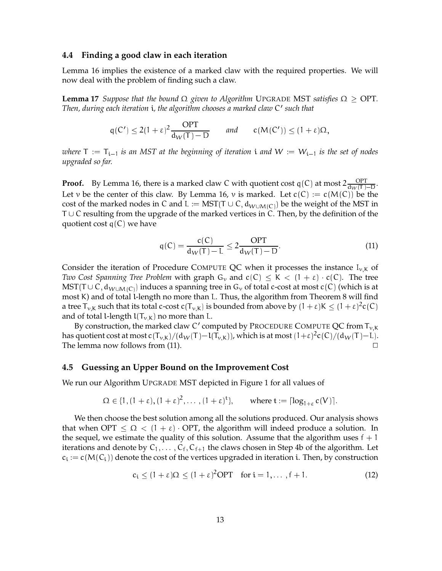#### **4.4 Finding a good claw in each iteration**

Lemma 16 implies the existence of a marked claw with the required properties. We will now deal with the problem of finding such a claw.

**Lemma 17** Suppose that the bound  $\Omega$  given to Algorithm UPGRADE MST satisfies  $\Omega \geq \text{OPT}$ . Then, during each iteration  $i$ , the algorithm chooses a marked claw C' such that

$$
q(C') \le 2(1+\varepsilon)^2 \frac{\text{OPT}}{d_W(T)-D} \quad \text{and} \quad c(M(C')) \le (1+\varepsilon)\Omega,
$$

*where*  $T := T_{i-1}$  *is an MST at the beginning of iteration i and*  $W := W_{i-1}$  *is the set of nodes upgraded so far.*

**Proof.** By Lemma 16, there is a marked claw C with quotient cost  $q(C)$  at most  $2 \frac{OPT}{d_W(T)-D}$ . Let v be the center of this claw. By Lemma 16, v is marked. Let  $c(C) := c(M(C))$  be the cost of the marked nodes in C and L := MST(T  $\cup$  C,  $d_{W \cup M(C)}$ ) be the weight of the MST in  $T \cup C$  resulting from the upgrade of the marked vertices in C. Then, by the definition of the quotient cost  $q(C)$  we have

$$
q(C) = \frac{c(C)}{d_W(T) - L} \le 2 \frac{OPT}{d_W(T) - D}.
$$
\n(11)

Consider the iteration of Procedure COMPUTE QC when it processes the instance  $I_{v,K}$  of *Two Cost Spanning Tree Problem* with graph  $G_v$  and  $c(C) \leq K < (1 + \varepsilon) \cdot c(C)$ . The tree  $MST(T \cup C, d_{W \cup M(C)})$  induces a spanning tree in G<sub>v</sub> of total c-cost at most c(C) (which is at most <sup>K</sup>) and of total <sup>l</sup>-length no more than <sup>L</sup>. Thus, the algorithm from Theorem 8 will find a tree T<sub>v,K</sub> such that its total c-cost c(T<sub>v,K</sub>) is bounded from above by  $(1+\epsilon)K \leq (1+\epsilon)^2c(C)$ and of total l-length  $l(T_{v,K})$  no more than L.

By construction, the marked claw C' computed by PROCEDURE COMPUTE QC from  $\mathsf{T}_{\nu,\mathsf{K}}$ has quotient cost at most  $c(T_{\nu,K})/(d_W(T)-l(T_{\nu,K})),$  which is at most  $(1+\epsilon)^2 c(C)/(d_W(T)-L).$ The lemma now follows from  $(11)$ .

#### **4.5 Guessing an Upper Bound on the Improvement Cost**

We run our Algorithm UPGRADE MST depicted in Figure 1 for all values of

$$
\Omega \in \{1, (1+\varepsilon), (1+\varepsilon)^2, \dots, (1+\varepsilon)^t\}, \quad \text{where } t := \lceil \log_{1+\varepsilon} c(V) \rceil.
$$

We then choose the best solution among all the solutions produced. Our analysis shows that when  $\text{OPT} \leq \Omega < (1 + \varepsilon) \cdot \text{OPT}$ , the algorithm will indeed produce a solution. In the sequel, we estimate the quality of this solution. Assume that the algorithm uses  $f + 1$ iterations and denote by  $C_1, \ldots, C_f, C_{f+1}$  the claws chosen in Step 4b of the algorithm. Let  $c_i := c(M(C_i))$  denote the cost of the vertices upgraded in iteration i. Then, by construction

$$
c_i \le (1+\varepsilon)\Omega \le (1+\varepsilon)^2 \text{OPT} \quad \text{for } i = 1, \dots, f+1. \tag{12}
$$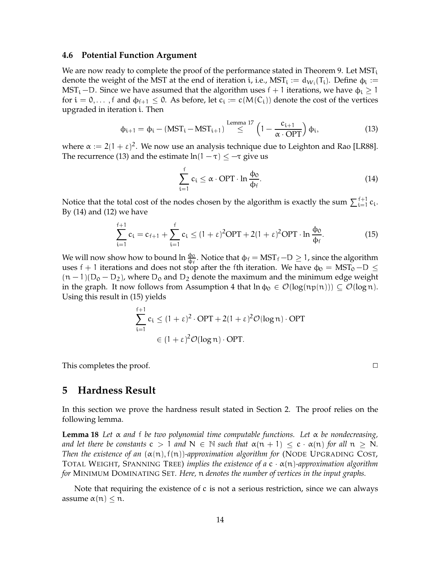### **4.6 Potential Function Argument**

We are now ready to complete the proof of the performance stated in Theorem 9. Let  $MST_i$ denote the weight of the MST at the end of iteration i, i.e.,  $MST_i := d_{W_i}(T_i)$ . Define  $\phi_i :=$ MST<sub>i</sub> -D. Since we have assumed that the algorithm uses  $f + 1$  iterations, we have  $\phi_i \geq 1$ for  $i = 0, \ldots, f$  and  $\phi_{f+1} \leq 0$ . As before, let  $c_i := c(M(C_i))$  denote the cost of the vertices upgraded in iteration <sup>i</sup>. Then

$$
\phi_{i+1} = \phi_i - (MST_i - MST_{i+1}) \stackrel{\text{Lemma 17}}{\leq} \left(1 - \frac{c_{i+1}}{\alpha \cdot OPT}\right) \phi_i,
$$
\n(13)

where  $\alpha := 2(1 + \epsilon)^2$ . We now use an analysis technique due to Leighton and Rao [LR88]. The recurrence (13) and the estimate  $\ln(1 - \tau) \leq -\tau$  give us

$$
\sum_{i=1}^{f} c_i \le \alpha \cdot \text{OPT} \cdot \ln \frac{\phi_0}{\phi_f}.\tag{14}
$$

Notice that the total cost of the nodes chosen by the algorithm is exactly the sum  $\sum_{i=1}^{f+1} c_i$ . By (14) and (12) we have

$$
\sum_{i=1}^{f+1} c_i = c_{f+1} + \sum_{i=1}^{f} c_i \le (1+\epsilon)^2 \text{OPT} + 2(1+\epsilon)^2 \text{OPT} \cdot \ln \frac{\phi_0}{\phi_f}.
$$
 (15)

We will now show how to bound  $\ln \frac{\phi_0}{\phi_f}$ . Notice that  $\phi_f = \text{MST}_f - \text{D} \geq 1$ , since the algorithm uses f + 1 iterations and does not stop after the fth iteration. We have  $\phi_0 = MST_0 - D \leq$  $(n - 1)(D_0 - D_2)$ , where  $D_0$  and  $D_2$  denote the maximum and the minimum edge weight in the graph. It now follows from Assumption 4 that  $\ln \phi_0 \in \mathcal{O}(\log(\text{np}(\text{n}))) \subseteq \mathcal{O}(\log \text{n})$ . Using this result in (15) yields

$$
\sum_{i=1}^{f+1} c_i \le (1+\epsilon)^2 \cdot \text{OPT} + 2(1+\epsilon)^2 \mathcal{O}(\log n) \cdot \text{OPT}
$$
  

$$
\in (1+\epsilon)^2 \mathcal{O}(\log n) \cdot \text{OPT}.
$$

This completes the proof.  $\Box$ 

### **5 Hardness Result**

In this section we prove the hardness result stated in Section 2. The proof relies on the following lemma.

**Lemma 18** Let  $\alpha$  and  $\beta$  be two polynomial time computable functions. Let  $\alpha$  be nondecreasing, *and let there be constants*  $c > 1$  *and*  $N \in \mathbb{N}$  *such that*  $\alpha(n + 1) \leq c \cdot \alpha(n)$  *for all*  $n > N$ *. Then the existence of an*  $(\alpha(n), f(n))$ *-approximation algorithm for* (NODE UPGRADING COST, TOTAL WEIGHT, SPANNING TREE) *implies the existence of a*  $c \cdot \alpha(n)$ *-approximation algorithm for* MINIMUM DOMINATING SET*. Here,* <sup>n</sup> *denotes the number of vertices in the input graphs.*

Note that requiring the existence of <sup>c</sup> is not a serious restriction, since we can always assume  $\alpha(n) \leq n$ .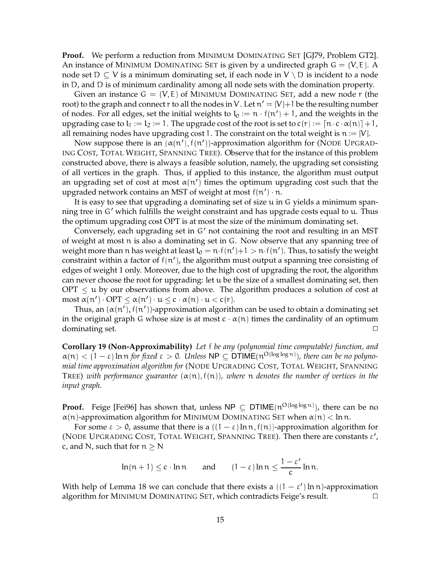**Proof.** We perform a reduction from MINIMUM DOMINATING SET [GJ79, Problem GT2]. An instance of MINIMUM DOMINATING SET is given by a undirected graph  $G = (V, E)$ . A node set  $D \subseteq V$  is a minimum dominating set, if each node in  $V \setminus D$  is incident to a node in <sup>D</sup>, and <sup>D</sup> is of minimum cardinality among all node sets with the domination property.

Given an instance  $G = (V, E)$  of MINIMUM DOMINATING SET, add a new node r (the root) to the graph and connect r to all the nodes in V. Let  $n' = |V|+1$  be the resulting number of nodes. For all edges, set the initial weights to  $l_0 := n \cdot f(n') + 1$ , and the weights in the upgrading case to  $l_1 := l_2 := 1$ . The upgrade cost of the root is set to  $c(r) := [n \cdot c \cdot \alpha(n)] + 1$ , all remaining nodes have upgrading cost 1. The constraint on the total weight is  $n := |V|$ .

Now suppose there is an  $(\alpha(n'), f(n'))$ -approximation algorithm for (NODE UPGRAD-ING COST, TOTAL WEIGHT, SPANNING TREE). Observe that for the instance of this problem constructed above, there is always a feasible solution, namely, the upgrading set consisting of all vertices in the graph. Thus, if applied to this instance, the algorithm must output an upgrading set of cost at most  $\alpha(n')$  times the optimum upgrading cost such that the upgraded network contains an MST of weight at most f $(\mathfrak{n}')\cdot\mathfrak{n}.$ 

It is easy to see that upgrading a dominating set of size <sup>u</sup> in <sup>G</sup> yields a minimum spanning tree in  $G'$  which fulfills the weight constraint and has upgrade costs equal to u. Thus the optimum upgrading cost OPT is at most the size of the minimum dominating set.

Conversely, each upgrading set in G' not containing the root and resulting in an MST of weight at most <sup>n</sup> is also a dominating set in <sup>G</sup>. Now observe that any spanning tree of weight more than  $\frak n$  has weight at least  ${\frak l}_0 = \frak n \cdot {\frak f}(\frak n') + 1 > \frak n \cdot {\frak f}(\frak n').$  Thus, to satisfy the weight constraint within a factor of  $f(n')$ , the algorithm must output a spanning tree consisting of edges of weight 1 only. Moreover, due to the high cost of upgrading the root, the algorithm can never choose the root for upgrading: let <sup>u</sup> be the size of a smallest dominating set, then OPT  $\leq u$  by our observations from above. The algorithm produces a solution of cost at  $\text{most } \alpha(n') \cdot \text{OPT} \leq \alpha(n') \cdot u \leq c \cdot \alpha(n) \cdot u < c(r).$ 

Thus, an  $(\alpha(n'), f(n'))$ -approximation algorithm can be used to obtain a dominating set in the original graph G whose size is at most  $c \cdot \alpha(n)$  times the cardinality of an optimum dominating set.

**Corollary 19 (Non-Approximability)** *Let* <sup>f</sup> *be any (polynomial time computable) function, and*  $\alpha(n) < (1-\varepsilon) \ln n$  for fixed  $\varepsilon > 0$ . Unless  $\mathsf{NP} \subseteq \mathsf{DTIME}(n^{\mathsf{O}(\log \log n)})$ , there can be no polyno*mial time approximation algorithm for* (NODE UPGRADING COST, TOTAL WEIGHT, SPANNING TREE) with performance guarantee  $(\alpha(n), f(n))$ , where *n* denotes the number of vertices in the *input graph.*

**Proof.** Feige [Fei96] has shown that, unless  $NP \subseteq DTIME(n^{O(log \log n)})$ , there can be no  $\alpha(n)$ -approximation algorithm for MINIMUM DOMINATING SET when  $\alpha(n) < \ln n$ .

For some  $\epsilon > 0$ , assume that there is a  $((1 - \epsilon) \ln n, f(n))$ -approximation algorithm for (NODE UPGRADING COST, TOTAL WEIGHT, SPANNING TREE). Then there are constants  $\varepsilon'$ , c, and N, such that for  $n > N$ 

$$
\ln(n+1) \leq c \cdot \ln n \quad \text{and} \quad (1-\varepsilon) \ln n \leq \frac{1-\varepsilon'}{c} \ln n.
$$

With help of Lemma 18 we can conclude that there exists a  $((1 - \varepsilon') \ln n)$ -approximation algorithm for MINIMUM DOMINATING SET, which contradicts Feige's result. <sup>2</sup>